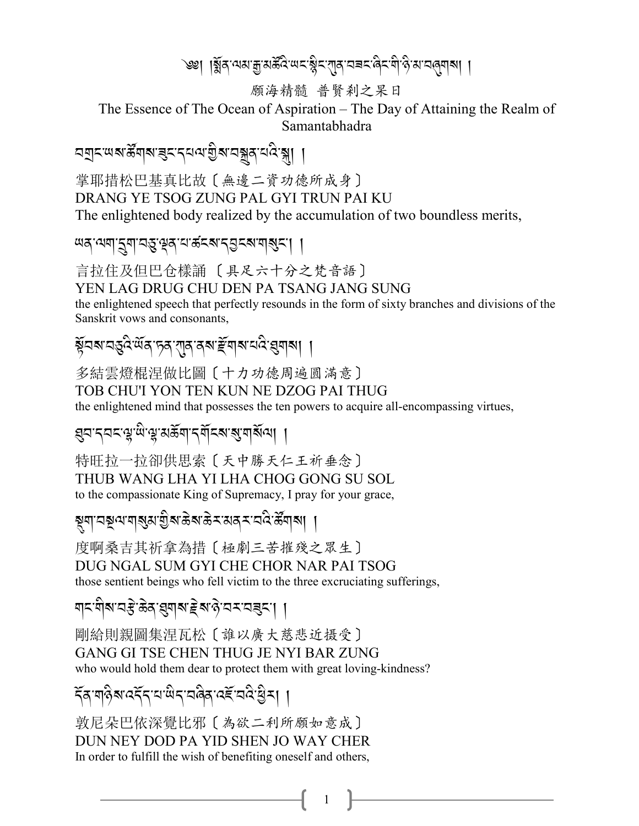`৩ঃ| ।য়ুঁৰ ঝম'ক্ৰুমৰ্ক্টবিঅবস্থিৰ ব্যৱস্থাৰ বিৰুদ্ধী উপাত্তৰ বিৰুদ্ধ। ।

願海精髓 普賢剎之杲日

The Essence of The Ocean of Aspiration – The Day of Attaining the Realm of Samantabhadra

掌耶措松巴基真比故〔無邊二資功德所成身〕 DRANG YE TSOG ZUNG PAL GYI TRUN PAI KU The enlightened body realized by the accumulation of two boundless merits,

言拉住及但巴仓樣誦 〔具足六十分之梵音語〕

YEN LAG DRUG CHU DEN PA TSANG JANG SUNG

the enlightened speech that perfectly resounds in the form of sixty branches and divisions of the Sanskrit vows and consonants,

য়ুঁঘঝ'ঘস্তুই'ৰ্অৰ'চৰ'গাৰ'ৰৰ'ৰ্ছমাৰ'ঘই'ৱুমাৰা ।

多結雲燈棍涅做比圖〔十カ功德周遍圓滿意〕 TOB CHU'I YON TEN KUN NE DZOG PAI THUG

the enlightened mind that possesses the ten powers to acquire all-encompassing virtues,

*য়৸ৼ৸ৼৼৗ*৻৻য়৻ড়৻ড়৻ড়৻ড়৻ড়৻ড়৻ড়৻ড়৻৸

特旺拉一拉卻供思索〔天中勝天仁王祈垂念〕 THUB WANG LHA YI LHA CHOG GONG SU SOL to the compassionate King of Supremacy, I pray for your grace,

য়৸৸ঽয়৻৸য়৾৶ৼ৻য়৸ৼঀৢ৸৻ড়৸ৼ৻৸ঀ৸৸৸

度啊桑吉其祈拿為措〔極劇三苦摧殘之眾生〕 DUG NGAL SUM GYI CHE CHOR NAR PAI TSOG those sentient beings who fell victim to the three excruciating sufferings,

য়৲য়৾য়ৼঽৼৢ৾৾৽য়ৼয়য়য়ৼড়৸ড়৻৸ৼ৻৸য়

剛給則親圖集涅瓦松〔誰以廣大慈悲近摄受〕 GANG GI TSE CHEN THUG JE NYI BAR ZUNG who would hold them dear to protect them with great loving-kindness?

1

ें दब्धानुबन्दर्य स्थित स्विद्य रहे स्थिति ।

敦尼朵巴依深覺比邪〔為欲二利所願如意成〕 DUN NEY DOD PA YID SHEN JO WAY CHER In order to fulfill the wish of benefiting oneself and others,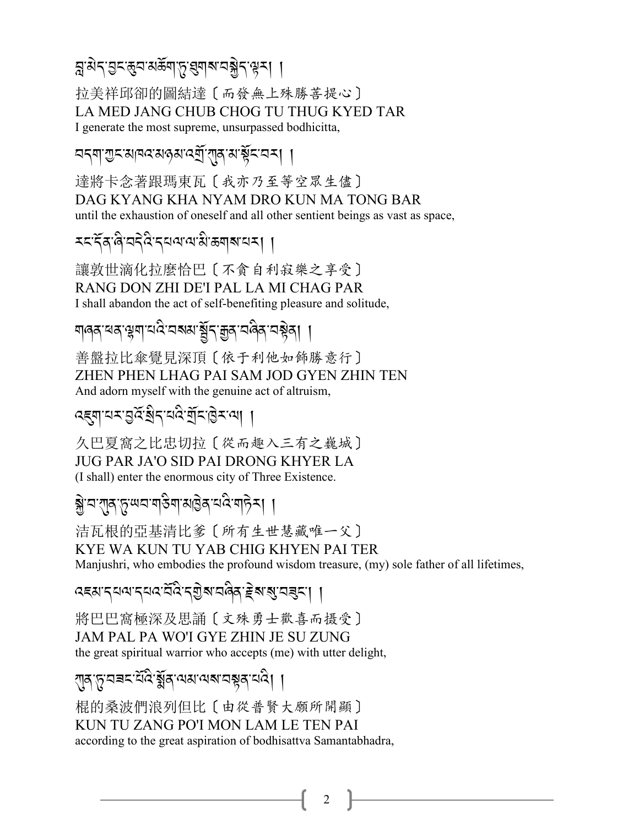<u>ब्रुअेद बुद्ध्वासङ्गाप्तृ बुबाबावञ्जेद सूत्रा ।</u>

拉美祥邱卻的圖結達〔而發無上殊勝菩提心〕 LA MED JANG CHUB CHOG TU THUG KYED TAR I generate the most supreme, unsurpassed bodhicitta,

নব্যা শুবস্থাৰ মন্ত্ৰ মন্ত্ৰী বাৰ্ষি স্বাস্থ্যবিদ্যা

達將卡念著跟瑪東瓦〔我亦乃至等空眾生儘〕 DAG KYANG KHA NYAM DRO KUN MA TONG BAR until the exhaustion of oneself and all other sentient beings as vast as space.

*মমন্দি***ৰি'ন**দীৰ সম্পৰ্কা আৰু বিদ্যালয় ।

讓敦世滴化拉麼恰巴〔不貪自利寂樂之享受〕 RANG DON ZHI DE'I PAL LA MI CHAG PAR I shall abandon the act of self-benefiting pleasure and solitude,

য়ড়ঽ৾ৼয়ৼড়য়ঢ়ৼড়ৼড়য়ৼড়ৼঢ়ড়ৼঢ়ড়৸

善盤拉比傘覺見深頂〔依于利他如飾勝意行〕 ZHEN PHEN LHAG PAI SAM JOD GYEN ZHIN TEN And adorn myself with the genuine act of altruism.

ব্ह্বাঘ্ম:হুর্ষ্ট্রন্মই:র্মুম্ট্রমন্থা ।

久巴夏窩之比忠切拉〔從而趣入三有之巍城〕 **JUG PAR JA'O SID PAI DRONG KHYER LA** (I shall) enter the enormous city of Three Existence.

<u>ङ्ग्रेभ्यशाहरूपाराज्ञी</u> अधिकारी अस्ति ।

洁瓦根的亞基清比爹 [所有生世慧藏唯一父] KYE WA KUN TU YAB CHIG KHYEN PAI TER Manjushri, who embodies the profound wisdom treasure, (my) sole father of all lifetimes,

५६४ दयवादयवर्देवे दशुबावदेव हेबाबुवडूटा ।

將巴巴窩極深及思誦〔文殊勇士歡喜而摄受〕 JAM PAL PA WO'I GYE ZHIN JE SU ZUNG the great spiritual warrior who accepts (me) with utter delight,

्गक्'ন্নু'য়েন্নমাইহি'য়ুঁৰ্'অম'অম'য়েন্নুৰ্'য়ই। ।

棍的桑波們浪列但比〔由從普賢大願所開顯〕 KUN TU ZANG PO'I MON LAM LE TEN PAI according to the great aspiration of bodhisattva Samantabhadra,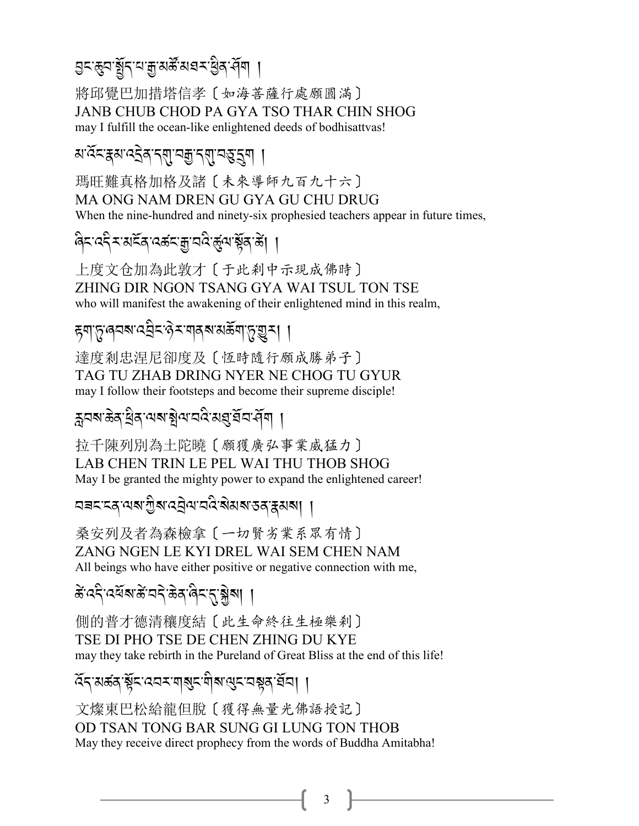৪<জিন, <u>ই</u>ি.- বা থি প্ৰস্ৰু, প্ৰস্ৰ প্ৰদ্ৰাৰ বি .<br>A

將邱覺巴加措塔信孝〔如海菩薩行處願圓滿〕 JANB CHUB CHOD PA GYA TSO THAR CHIN SHOG may I fulfill the ocean-like enlightened deeds of bodhisattvas!

*য'*ৰ্হ<ইৰ'ব্য়ু'নক্স'ৰ্হ'ৰ্' |

瑪旺難真格加格及諸〔未來導師九百九十六〕 MA ONG NAM DREN GU GYA GU CHU DRUG When the nine-hundred and ninety-six prophesied teachers appear in future times,

প্ৰিন্দ্ৰেই ব্যৱ্জনাৰী ব্যৱ্জনাৰী বিভিন্ন সম্ভূতি প্ৰাপ্ত <mark>(</mark>

上度文仓加為此敦才〔于此剎中示現成佛時〕 ZHING DIR NGON TSANG GYA WAI TSUL TON TSE who will manifest the awakening of their enlightened mind in this realm,

*हु*याङ्गुलवबादञ्चेदाक्षेत्रायुक्षायुक्त्या । A Contractor J

達度剎忠涅尼卻度及〔恆時隨行願成勝弟子〕 TAG TU ZHAB DRING NYER NE CHOG TU GYUR may I follow their footsteps and become their supreme disciple!

ক্লবজ্ঞৰাৰ প্ৰশ্ন স্থল প্ৰয়ে প্ৰয়ন্ত্ৰ পৰি ।<br>ক

拉千陳列別為土陀曉〔願獲廣弘事業威猛力〕 LAB CHEN TRIN LE PEL WAI THU THOB SHOG May I be granted the mighty power to expand the enlightened career!

বৰনৰে অৰাগ্ৰীৰ বেইঅ'নবি ৰামৰ <u>ব</u>িষ্কাৰী | J

桑安列及者為森檢拿〔一切賢劣業系眾有情〕 ZANG NGEN LE KYI DREL WAI SEM CHEN NAM All beings who have either positive or negative connection with me,

ക്αදි ৰশ্ৰম ক্ৰমেন্ট কৰা বিমন্ত্ৰ স্থীৰ্ণ । A J .<br>.<br>.

側的普才德清穰度結〔此生命終往生極樂剎〕 TSE DI PHO TSE DE CHEN ZHING DU KYE may they take rebirth in the Pureland of Great Bliss at the end of this life!

 $\widetilde{\alpha}$ ন্'মৰ্জন'ৰ্ক্সন'ৰ্মন'ৰ্ম'ম্পন'ৰ্মন'ৰ্মন' |

文燦東巴松給龍但脫〔獲得無量光佛語授記〕 OD TSAN TONG BAR SUNG GI LUNG TON THOB May they receive direct prophecy from the words of Buddha Amitabha!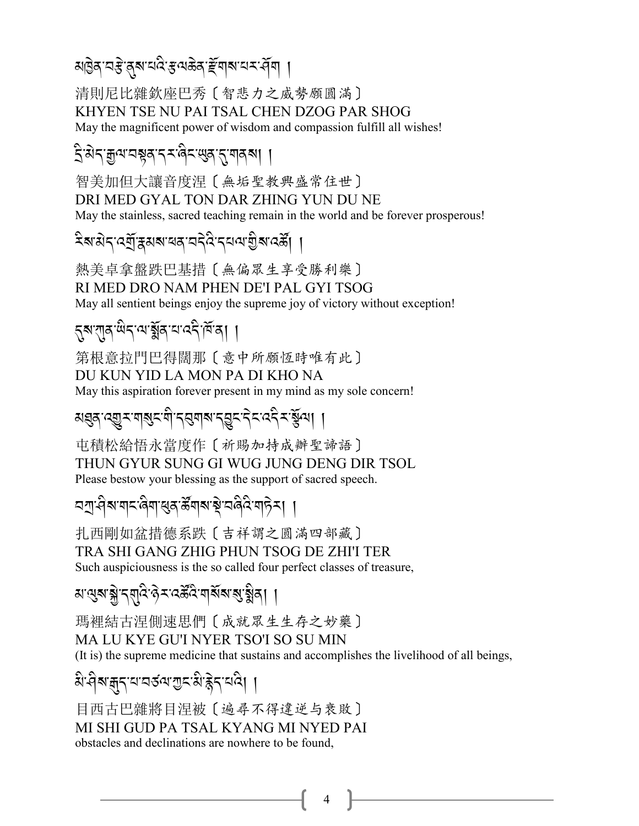য়৾৾৾ৣ<u>ঀ৾ৼঀৼৼ৻ড়৸ৼ৻ড়৸ড়ৼড়৻ড়৸</u>৸

清則尼比雜欽座巴秀〔智悲力之威勢願圓滿〕 KHYEN TSE NU PAI TSAL CHEN DZOG PAR SHOG May the magnificent power of wisdom and compassion fulfill all wishes!

### द्विशेदज्ञुत्यायञ्जूषाद्र्य विदासुबातुः यावत्या ।

智美加但大讓音度涅〔無垢聖教興盛常住世〕 DRI MED GYAL TON DAR ZHING YUN DU NE May the stainless, sacred teaching remain in the world and be forever prosperous!

熱美卓拿盤跌巴基措〔無偏眾生享受勝利樂〕 RI MED DRO NAM PHEN DE'I PAL GYI TSOG May all sentient beings enjoy the supreme joy of victory without exception!

# ह्रूयातुर्खिदायाञ्ज्ञेंबायाददीर्विंदा ।

第根意拉門巴得闊那〔意中所願恆時唯有此〕 DU KUN YID LA MON PA DI KHO NA May this aspiration forever present in my mind as my sole concern!

## য়য়৶ৼড়ৗৼয়৶ৼ৻য়ৢ৻ৼঀয়ৼ৻ঀয়৸ৼঀৼ৻ৼ৻ৼ৻ৼ৻ৼ৻য়৻৸

屯積松給悟永當度作〔祈賜加持成辦聖諦語〕 THUN GYUR SUNG GI WUG JUNG DENG DIR TSOL Please bestow your blessing as the support of sacred speech.

### <u> নশ্ৰ'</u>ধীৰ নাব'ৰীনা শ্ৰব'ৰ্ক্ট'নাৰীপৰ নাবীৰ নাবীৰ না

扎西剛如盆措德系跌〔吉祥謂之圓滿四部藏〕 TRA SHI GANG ZHIG PHUN TSOG DE ZHI'I TER Such auspiciousness is the so called four perfect classes of treasure,

*ম'ন্ড্*ৰ'ৰ্ঝ্ল'ন্ম্ম্বি'ন্টক'নৰ্ষ্টৰ'ৰ্মৰ্ম্ম'ৰ্ম্ন্ব'ৰ্ম ।

瑪裡結古涅側速思們〔成就眾生生存之妙藥〕 MA LU KYE GU'I NYER TSO'I SO SU MIN (It is) the supreme medicine that sustains and accomplishes the livelihood of all beings,

## बे विवाक् राज्ञ के राज्य के देन वहा

目西古巴雜將目涅被〔遍尋不得違逆与衰敗〕 MI SHI GUD PA TSAL KYANG MI NYED PAI obstacles and declinations are nowhere to be found.